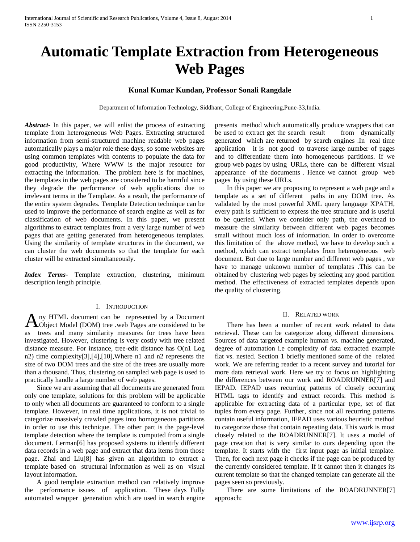# **Kunal Kumar Kundan, Professor Sonali Rangdale**

Department of Information Technology, Siddhant, College of Engineering,Pune-33,India.

*Abstract***-** In this paper, we will enlist the process of extracting template from heterogeneous Web Pages. Extracting structured information from semi-structured machine readable web pages automatically plays a major role these days, so some websites are using common templates with contents to populate the data for good productivity, Where WWW is the major resource for extracting the information. The problem here is for machines, the templates in the web pages are considered to be harmful since they degrade the performance of web applications due to irrelevant terms in the Template. As a result, the performance of the entire system degrades. Template Detection technique can be used to improve the performance of search engine as well as for classification of web documents. In this paper, we present algorithms to extract templates from a very large number of web pages that are getting generated from heterogeneous templates. Using the similarity of template structures in the document, we can cluster the web documents so that the template for each cluster will be extracted simultaneously.

*Index Terms*- Template extraction, clustering, minimum description length principle.

#### I. INTRODUCTION

ny HTML document can be represented by a Document A ny HTML document can be represented by a Document<br>
Object Model (DOM) tree .web Pages are considered to be as trees and many similarity measures for trees have been investigated. However, clustering is very costly with tree related distance measure. For instance, tree-edit distance has O(n1 Log n2) time complexity[3],[4],[10],Where n1 and n2 represents the size of two DOM trees and the size of the trees are usually more than a thousand. Thus, clustering on sampled web page is used to practically handle a large number of web pages.

 Since we are assuming that all documents are generated from only one template, solutions for this problem will be applicable to only when all documents are guaranteed to conform to a single template. However, in real time applications, it is not trivial to categorize massively crawled pages into homogeneous partitions in order to use this technique. The other part is the page-level template detection where the template is computed from a single document. Lerman[6] has proposed systems to identify different data records in a web page and extract that data items from those page. Zhai and Liu[8] has given an algorithm to extract a template based on structural information as well as on visual layout information.

 A good template extraction method can relatively improve the performance issues of application. These days Fully automated wrapper generation which are used in search engine presents method which automatically produce wrappers that can be used to extract get the search result from dynamically generated which are returned by search engines .In real time application it is not good to traverse large number of pages and to differentiate them into homogeneous partitions. If we group web pages by using URLs, there can be different visual appearance of the documents . Hence we cannot group web pages by using these URLs.

 In this paper we are proposing to represent a web page and a template as a set of different paths in any DOM tree. As validated by the most powerful XML query language XPATH, every path is sufficient to express the tree structure and is useful to be queried. When we consider only path, the overhead to measure the similarity between different web pages becomes small without much loss of information. In order to overcome this limitation of the above method, we have to develop such a method, which can extract templates from heterogeneous web document. But due to large number and different web pages , we have to manage unknown number of templates .This can be obtained by clustering web pages by selecting any good partition method. The effectiveness of extracted templates depends upon the quality of clustering.

#### II. RELATED WORK

 There has been a number of recent work related to data retrieval. These can be categorize along different dimensions. Sources of data targeted example human vs. machine generated, degree of automation i.e complexity of data extracted example flat vs. nested. Section 1 briefly mentioned some of the related work. We are referring reader to a recent survey and tutorial for more data retrieval work. Here we try to focus on highlighting the differences between our work and ROADRUNNER[7] and IEPAD. IEPAD uses recurring patterns of closely occurring HTML tags to identify and extract records. This method is applicable for extracting data of a particular type, set of flat tuples from every page. Further, since not all recurring patterns contain useful information, IEPAD uses various heuristic method to categorize those that contain repeating data. This work is most closely related to the ROADRUNNER[7]. It uses a model of page creation that is very similar to ours depending upon the template. It starts with the first input page as initial template. Then, for each next page it checks if the page can be produced by the currently considered template. If it cannot then it changes its current template so that the changed template can generate all the pages seen so previously.

There are some limitations of the ROADRUNNER[7] approach: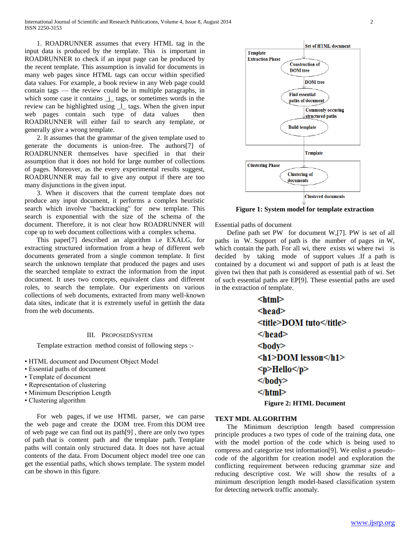International Journal of Scientific and Research Publications, Volume 4, Issue 8, August 2014 2 ISSN 2250-3153

 1. ROADRUNNER assumes that every HTML tag in the input data is produced by the template. This is important in ROADRUNNER to check if an input page can be produced by the recent template. This assumption is invalid for documents in many web pages since HTML tags can occur within specified data values. For example, a book review in any Web page could contain tags — the review could be in multiple paragraphs, in which some case it contains  $\frac{1}{\sqrt{2}}$  tags, or sometimes words in the review can be highlighted using \_l\_ tags. When the given input web pages contain such type of data values then ROADRUNNER will either fail to search any template, or generally give a wrong template.

 2. It assumes that the grammar of the given template used to generate the documents is union-free. The authors[7] of ROADRUNNER themselves have specified in that their assumption that it does not hold for large number of collections of pages. Moreover, as the every experimental results suggest, ROADRUNNER may fail to give any output if there are too many disjunctions in the given input.

 3. When it discovers that the current template does not produce any input document, it performs a complex heuristic search which involve "backtracking" for new template. This search is exponential with the size of the schema of the document. Therefore, it is not clear how ROADRUNNER will cope up to web document collections with a complex schema.

 This paper[7] described an algorithm i.e EXALG, for extracting structured information from a heap of different web documents generated from a single common template. It first search the unknown template that produced the pages and uses the searched template to extract the information from the input document. It uses two concepts, equivalent class and different roles, to search the template. Our experiments on various collections of web documents, extracted from many well-known data sites, indicate that it is extremely useful in gettinh the data from the web documents.

#### III. PROPOSEDSYSTEM

Template extraction method consist of following steps :-

- HTML document and Document Object Model
- Essential paths of document
- Template of document
- Representation of clustering
- Minimum Description Length
- Clustering algorithm

 For web pages, if we use HTML parser, we can parse the web page and create the DOM tree. From this DOM tree of web page we can find out its path[9] , there are only two types of path that is content path and the template path. Template paths will contain only structured data. It does not have actual contents of the data. From Document object model tree one can get the essential paths, which shows template. The system model can be shown in this figure.



**Figure 1: System model for template extraction**

Essential paths of document

 Define path set PW for document W,[7]. PW is set of all paths in W. Support of path is the number of pages in W, which contain the path. For all wi, there exists wi where twi is decided by taking mode of support values .If a path is contained by a document wi and support of path is at least the given twi then that path is considered as essential path of wi. Set of such essential paths are EP[9]. These essential paths are used in the extraction of template.

\n`\n
$$
\langle htm| > 1
$$
\n`\n

\n\n`\n $\langle head \rangle$ \n`\n

\n\n $\langle head \rangle$ \n

\n\n $\langle head \rangle$ \n

\n\n $\langle hol \rangle$ \n

\n\n $\langle h1 \rangle$  DOM lesson $\langle h1 \rangle$ \n

\n\n $\langle p \rangle$ Hello $\langle p \rangle$ \n

\n\n $\langle htm \rangle$ \n

\n\n $\langle htm \rangle$ \n

\n\nFigure 2: HTML Document\n

### **TEXT MDL ALGORITHM**

 The Minimum description length based compression principle produces a two types of code of the training data, one with the model portion of the code which is being used to compress and categorize test information[9]. We enlist a pseudocode of the algorithm for creation model and exploration the conflicting requirement between reducing grammar size and reducing descriptive cost. We will show the results of a minimum description length model-based classification system for detecting network traffic anomaly.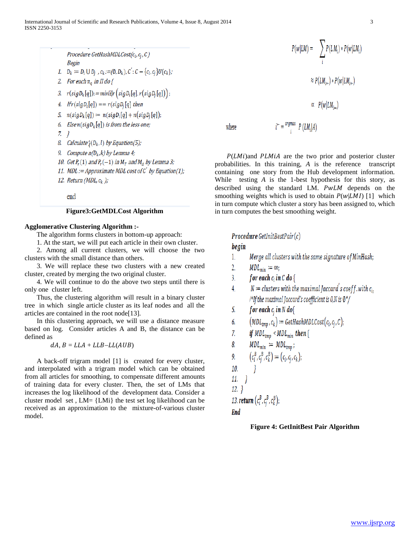Procedure GetHashMDLCost(c<sub>i</sub>, c<sub>i</sub>, C) **Begin** 1.  $D_k := D_i \cup D_j$ ,  $c_k := (0, D_k)$ ,  $C' : C - \{c_i, c_j\}U\{c_k\}$ ; 2. For each  $\pi_q$  in  $\Pi$  do  $\{$ 3.  $r(sign_k[q])$ : = min [[xet]  $\left( sigD_i[q], r(sigD_j[q]) \right)$ ; 4. If  $r(sigD_i[q]) == r(sigD_i[q]$  then 5.  $n(sigD_k[q]) \coloneqq n(sigD_i[q] + n(sigD_i[q])$ ; 6. Elsen(sigD<sub>k</sub>[q]) is from the less one; 7.  $\}$ 8. Calculate  $\hat{\zeta}(D_k, l)$  by Equation(5); 9. Compute  $n(D_k, k)$  by Lemma 4; 10. Get  $P_r(1)$  and  $P_r(-1)$  in  $M_T$  and  $M_A$  by Lemma 3; 11. MDL := Approximate MDL cost of  $C'$  by Equation(1); 12. Return (MDL,  $c_k$ );

end

## **Figure3:GetMDLCost Algorithm**

## **Agglomerative Clustering Algorithm :-**

The algorithm forms clusters in bottom-up approach:

1. At the start, we will put each article in their own cluster.

 2. Among all current clusters, we will choose the two clusters with the small distance than others.

 3. We will replace these two clusters with a new created cluster, created by merging the two original cluster.

 4. We will continue to do the above two steps until there is only one cluster left.

 Thus, the clustering algorithm will result in a binary cluster tree in which single article cluster as its leaf nodes and all the articles are contained in the root node[13].

 In this clustering approach, we will use a distance measure based on log. Consider articles A and B, the distance can be defined as

 $dA, B = LLA + LLB - LL(AUB)$ 

 A back-off trigram model [1] is created for every cluster, and interpolated with a trigram model which can be obtained from all articles for smoothing, to compensate different amounts of training data for every cluster. Then, the set of LMs that increases the log likelihood of the development data. Consider a cluster model set,  $LM = \{LMi\}$  the test set log likelihood can be received as an approximation to the mixture-of-various cluster model.

```
P(w|LM) = \sum P(L M_i) * P(w|LM_i)\approx P(LM_{i\leftarrow}) * P(w|LM_{i\leftarrow})\propto P(w|LM_{i-})i^{\leftarrow} = \frac{argmax}{i} P (LM_i|A)
```
 $P(LMi)$ and  $PLMiA$  are the two prior and posterior cluster probabilities. In this training, *A* is the reference transcript containing one story from the Hub development information. While testing *A* is the 1-best hypothesis for this story, as described using the standard LM.  $PwLM$  depends on the smoothing weights which is used to obtain  $P(w|LMI)$  [1] which in turn compute which cluster a story has been assigned to, which in turn computes the best smoothing weight.

## **Procedure** GetInitBestPair $(c)$

### begin

where

- $\mathbf{1}$ . Merge all clusters with the same signature of MinHash;
- $\overline{2}$ .  $MDL_{min} := \infty$ ;
- $\overline{3}$ . for each  $c_i$  in C do {
- $N =$  clusters with the maximal Jaccard's coeff. with  $c_i$ .  $\overline{4}$ /\*If the maximal Jaccard's coefficient is 0,N is  $\emptyset^*/$
- $5<sub>1</sub>$ for each  $c_i$  in N do{
- $(MDL_{tmn}, c_k) \coloneqq \text{GetHashMDLCost}(c_i, c_i, C);$ 6.
- if  $MDL_{tmp}$  <  $MDL_{min}$  then { 7.
- 8.  $MDL_{min} := MDL_{tmp};$

9. 
$$
(c_i^B, c_j^B, c_k^B) := (c_i, c_j, c_k);
$$

10.

 $11.$ }

12. 
$$
\int \frac{1}{c^B} \, c^B \, c^B
$$

13. return 
$$
(c_i, c_j, c_k)
$$

End

## **Figure 4: GetInitBest Pair Algorithm**